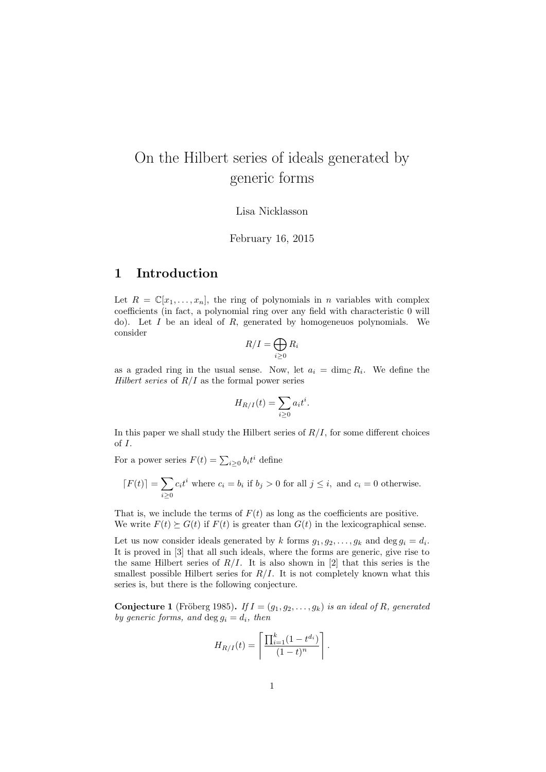# On the Hilbert series of ideals generated by generic forms

Lisa Nicklasson

February 16, 2015

### 1 Introduction

Let  $R = \mathbb{C}[x_1, \ldots, x_n]$ , the ring of polynomials in *n* variables with complex coefficients (in fact, a polynomial ring over any field with characteristic 0 will do). Let  $I$  be an ideal of  $R$ , generated by homogeneuos polynomials. We consider

$$
R/I = \bigoplus_{i \geq 0} R_i
$$

as a graded ring in the usual sense. Now, let  $a_i = \dim_{\mathbb{C}} R_i$ . We define the Hilbert series of  $R/I$  as the formal power series

$$
H_{R/I}(t) = \sum_{i \ge 0} a_i t^i.
$$

In this paper we shall study the Hilbert series of  $R/I$ , for some different choices of I.

For a power series  $F(t) = \sum_{i \geq 0} b_i t^i$  define

$$
[F(t)] = \sum_{i \ge 0} c_i t^i
$$
 where  $c_i = b_i$  if  $b_j > 0$  for all  $j \le i$ , and  $c_i = 0$  otherwise.

That is, we include the terms of  $F(t)$  as long as the coefficients are positive. We write  $F(t) \succeq G(t)$  if  $F(t)$  is greater than  $G(t)$  in the lexicographical sense.

Let us now consider ideals generated by k forms  $g_1, g_2, \ldots, g_k$  and  $\deg g_i = d_i$ . It is proved in [3] that all such ideals, where the forms are generic, give rise to the same Hilbert series of  $R/I$ . It is also shown in [2] that this series is the smallest possible Hilbert series for  $R/I$ . It is not completely known what this series is, but there is the following conjecture.

**Conjecture 1** (Fröberg 1985). If  $I = (g_1, g_2, \ldots, g_k)$  is an ideal of R, generated by generic forms, and  $\deg g_i = d_i$ , then

$$
H_{R/I}(t) = \left\lceil \frac{\prod_{i=1}^{k} (1 - t^{d_i})}{(1 - t)^n} \right\rceil
$$

.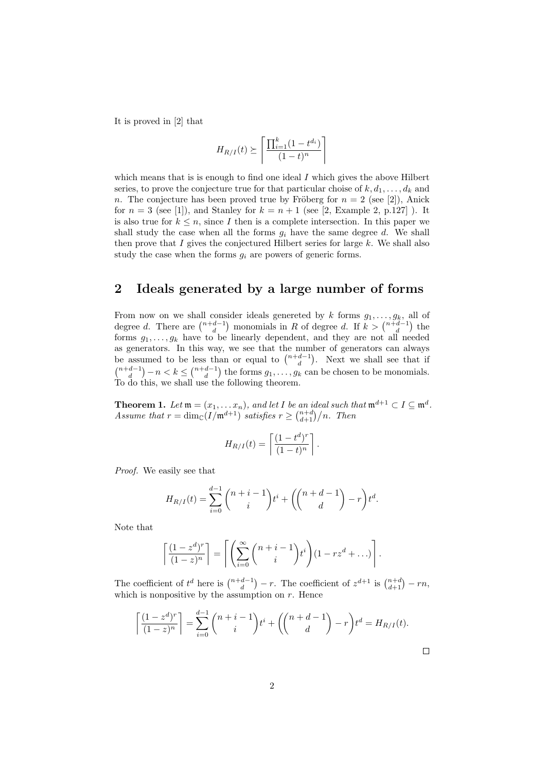It is proved in [2] that

$$
H_{R/I}(t) \succeq \left\lceil \frac{\prod_{i=1}^{k} (1 - t^{d_i})}{(1 - t)^n} \right\rceil
$$

which means that is is enough to find one ideal  $I$  which gives the above Hilbert series, to prove the conjecture true for that particular choise of  $k, d_1, \ldots, d_k$  and n. The conjecture has been proved true by Fröberg for  $n = 2$  (see [2]), Anick for  $n = 3$  (see [1]), and Stanley for  $k = n + 1$  (see [2, Example 2, p.127]). It is also true for  $k \leq n$ , since I then is a complete intersection. In this paper we shall study the case when all the forms  $g_i$  have the same degree d. We shall then prove that I gives the conjectured Hilbert series for large  $k$ . We shall also study the case when the forms  $q_i$  are powers of generic forms.

### 2 Ideals generated by a large number of forms

From now on we shall consider ideals genereted by k forms  $g_1, \ldots, g_k$ , all of degree d. There are  $\binom{n+d-1}{d}$  monomials in R of degree d. If  $k > \binom{n+d-1}{d}$  the forms  $g_1, \ldots, g_k$  have to be linearly dependent, and they are not all needed as generators. In this way, we see that the number of generators can always be assumed to be less than or equal to  $\binom{n+d-1}{d}$ . Next we shall see that if  $\binom{n+d-1}{d} - n < k \leq \binom{n+d-1}{d}$  the forms  $g_1, \ldots, g_k$  can be chosen to be monomials. To do this, we shall use the following theorem.

**Theorem 1.** Let  $\mathfrak{m} = (x_1, \ldots x_n)$ , and let I be an ideal such that  $\mathfrak{m}^{d+1} \subset I \subseteq \mathfrak{m}^d$ . Assume that  $r = \dim_{\mathbb{C}}(I/\mathfrak{m}^{d+1})$  satisfies  $r \geq \binom{n+d}{d+1}/n$ . Then

$$
H_{R/I}(t) = \left\lceil \frac{(1 - t^d)^r}{(1 - t)^n} \right\rceil.
$$

Proof. We easily see that

$$
H_{R/I}(t) = \sum_{i=0}^{d-1} {n+i-1 \choose i} t^i + \left( {n+d-1 \choose d} - r \right) t^d.
$$

Note that

$$
\left\lceil \frac{(1-z^d)^r}{(1-z)^n} \right\rceil = \left\lceil \left( \sum_{i=0}^{\infty} {n+i-1 \choose i} t^i \right) (1-rz^d + \ldots) \right\rceil.
$$

The coefficient of  $t^d$  here is  $\binom{n+d-1}{d} - r$ . The coefficient of  $z^{d+1}$  is  $\binom{n+d}{d+1} - rn$ , which is nonpositive by the assumption on  $r$ . Hence

$$
\left\lceil \frac{(1-z^d)^r}{(1-z)^n} \right\rceil = \sum_{i=0}^{d-1} {n+i-1 \choose i} t^i + {n+d-1 \choose d} - r t^d = H_{R/I}(t).
$$

 $\Box$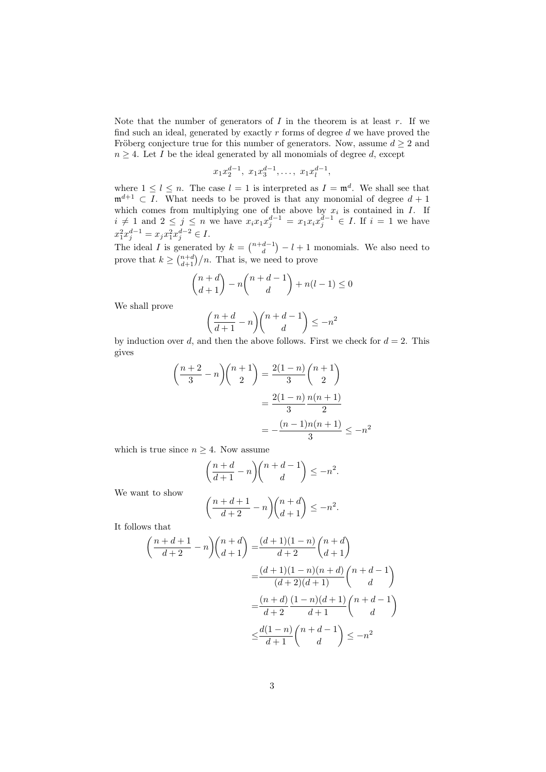Note that the number of generators of  $I$  in the theorem is at least  $r$ . If we find such an ideal, generated by exactly  $r$  forms of degree  $d$  we have proved the Fröberg conjecture true for this number of generators. Now, assume  $d \geq 2$  and  $n \geq 4$ . Let I be the ideal generated by all monomials of degree d, except

$$
x_1x_2^{d-1}, x_1x_3^{d-1}, \ldots, x_1x_l^{d-1},
$$

where  $1 \leq l \leq n$ . The case  $l = 1$  is interpreted as  $I = \mathfrak{m}^d$ . We shall see that  $\mathfrak{m}^{d+1} \subset I$ . What needs to be proved is that any monomial of degree  $d+1$ which comes from multiplying one of the above by  $x_i$  is contained in  $I$ . If  $i \neq 1$  and  $2 \leq j \leq n$  we have  $x_i x_1 x_j^{d-1} = x_1 x_i x_j^{d-1} \in I$ . If  $i = 1$  we have  $x_1^2 x_j^{d-1} = x_j x_1^2 x_j^{d-2} \in I.$ 

The ideal I is generated by  $k = \binom{n+d-1}{d} - l + 1$  monomials. We also need to prove that  $k \geq \binom{n+d}{d+1}/n$ . That is, we need to prove

$$
\binom{n+d}{d+1} - n\binom{n+d-1}{d} + n(l-1) \le 0
$$

We shall prove

$$
\left(\frac{n+d}{d+1} - n\right)\binom{n+d-1}{d} \le -n^2
$$

by induction over d, and then the above follows. First we check for  $d = 2$ . This gives

$$
\left(\frac{n+2}{3} - n\right)\binom{n+1}{2} = \frac{2(1-n)}{3}\binom{n+1}{2}
$$

$$
= \frac{2(1-n)}{3}\frac{n(n+1)}{2}
$$

$$
= -\frac{(n-1)n(n+1)}{3} \le -n^2
$$

which is true since  $n \geq 4$ . Now assume

$$
\left(\frac{n+d}{d+1} - n\right)\binom{n+d-1}{d} \le -n^2.
$$

We want to show

$$
\left(\frac{n+d+1}{d+2} - n\right) \binom{n+d}{d+1} \le -n^2.
$$

It follows that

$$
\left(\frac{n+d+1}{d+2} - n\right)\left(\frac{n+d}{d+1}\right) = \frac{(d+1)(1-n)}{d+2}\left(\frac{n+d}{d+1}\right)
$$

$$
= \frac{(d+1)(1-n)(n+d)}{(d+2)(d+1)}\left(\frac{n+d-1}{d}\right)
$$

$$
= \frac{(n+d)}{d+2}\frac{(1-n)(d+1)}{d+1}\left(\frac{n+d-1}{d}\right)
$$

$$
\leq \frac{d(1-n)}{d+1}\left(\frac{n+d-1}{d}\right) \leq -n^2
$$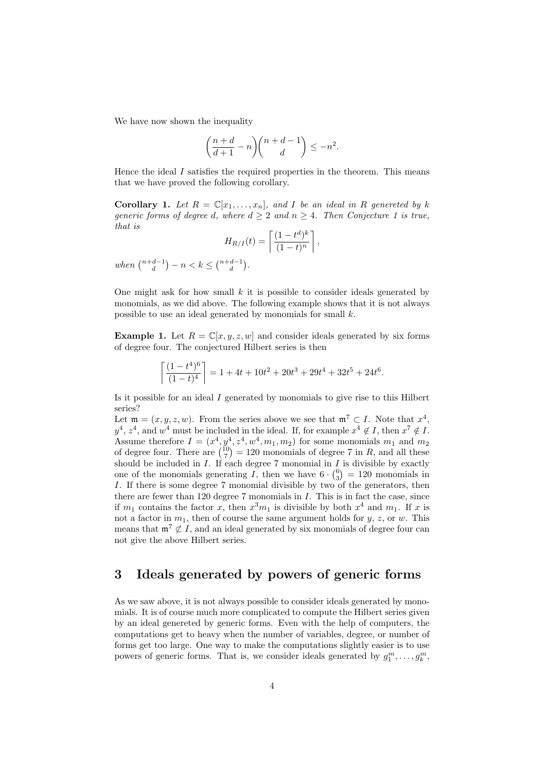We have now shown the inequality

$$
\left(\frac{n+d}{d+1} - n\right)\binom{n+d-1}{d} \le -n^2.
$$

Hence the ideal  $I$  satisfies the required properties in the theorem. This means that we have proved the following corollary.

**Corollary 1.** Let  $R = \mathbb{C}[x_1, \ldots, x_n]$ , and I be an ideal in R genereted by k generic forms of degree d, where  $d \geq 2$  and  $n \geq 4$ . Then Conjecture 1 is true, that is

$$
H_{R/I}(t) = \left\lceil \frac{(1 - t^d)^k}{(1 - t)^n} \right\rceil,
$$

when  $\binom{n+d-1}{d} - n < k \leq \binom{n+d-1}{d}$ .

One might ask for how small  $k$  it is possible to consider ideals generated by monomials, as we did above. The following example shows that it is not always possible to use an ideal generated by monomials for small  $k$ .

**Example 1.** Let  $R = \mathbb{C}[x, y, z, w]$  and consider ideals generated by six forms of degree four. The conjectured Hilbert series is then

$$
\left\lceil \frac{(1-t^4)^6}{(1-t)^4} \right\rceil = 1 + 4t + 10t^2 + 20t^3 + 29t^4 + 32t^5 + 24t^6.
$$

Is it possible for an ideal I generated by monomials to give rise to this Hilbert series?

Let  $\mathfrak{m} = (x, y, z, w)$ . From the series above we see that  $\mathfrak{m}^7 \subset I$ . Note that  $x^4$ ,  $y^4$ ,  $z^4$ , and  $w^4$  must be included in the ideal. If, for example  $x^4 \notin I$ , then  $x^7 \notin I$ . Assume therefore  $I = (x^4, y^4, z^4, w^4, m_1, m_2)$  for some monomials  $m_1$  and  $m_2$ of degree four. There are  $\binom{10}{7} = 120$  monomials of degree 7 in R, and all these should be included in  $I$ . If each degree 7 monomial in  $I$  is divisible by exactly one of the monomials generating  $I$ , then we have  $6 \cdot {6 \choose 3} = 120$  monomials in I. If there is some degree 7 monomial divisible by two of the generators, then there are fewer than 120 degree 7 monomials in I. This is in fact the case, since if  $m_1$  contains the factor x, then  $x^3m_1$  is divisible by both  $x^4$  and  $m_1$ . If x is not a factor in  $m_1$ , then of course the same argument holds for y, z, or w. This means that  $\mathfrak{m}^7 \not\subset I$ , and an ideal generated by six monomials of degree four can not give the above Hilbert series.

## 3 Ideals generated by powers of generic forms

As we saw above, it is not always possible to consider ideals generated by monomials. It is of course much more complicated to compute the Hilbert series given by an ideal genereted by generic forms. Even with the help of computers, the computations get to heavy when the number of variables, degree, or number of forms get too large. One way to make the computations slightly easier is to use powers of generic forms. That is, we consider ideals generated by  $g_1^m, \ldots, g_k^m$ ,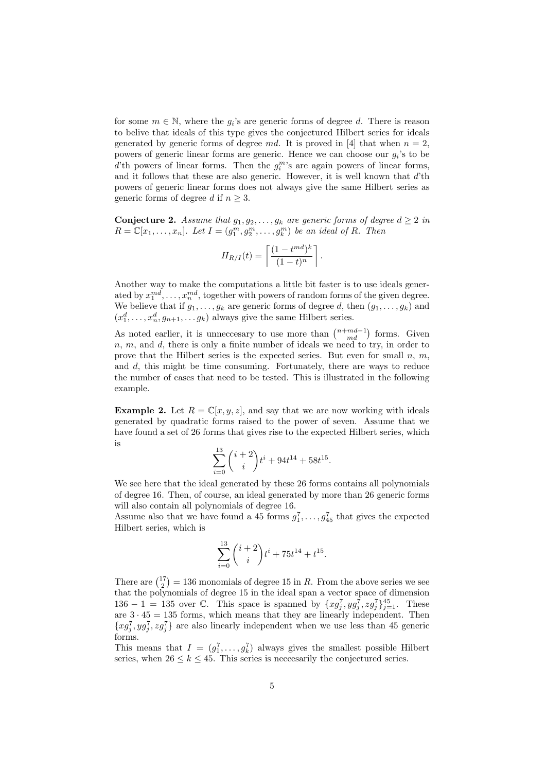for some  $m \in \mathbb{N}$ , where the  $g_i$ 's are generic forms of degree d. There is reason to belive that ideals of this type gives the conjectured Hilbert series for ideals generated by generic forms of degree md. It is proved in [4] that when  $n = 2$ , powers of generic linear forms are generic. Hence we can choose our  $g_i$ 's to be  $d'$ th powers of linear forms. Then the  $g_i^m$ 's are again powers of linear forms, and it follows that these are also generic. However, it is well known that  $d$ 'th powers of generic linear forms does not always give the same Hilbert series as generic forms of degree d if  $n \geq 3$ .

**Conjecture 2.** Assume that  $g_1, g_2, \ldots, g_k$  are generic forms of degree  $d \geq 2$  in  $R = \mathbb{C}[x_1,\ldots,x_n]$ . Let  $I = (g_1^m, g_2^m, \ldots, g_k^m)$  be an ideal of R. Then

$$
H_{R/I}(t) = \left\lceil \frac{(1 - t^{md})^k}{(1 - t)^n} \right\rceil.
$$

Another way to make the computations a little bit faster is to use ideals generated by  $x_1^{md}, \ldots, x_n^{md}$ , together with powers of random forms of the given degree. We believe that if  $g_1, \ldots, g_k$  are generic forms of degree d, then  $(g_1, \ldots, g_k)$  and  $(x_1^d, \ldots, x_n^d, g_{n+1}, \ldots, g_k)$  always give the same Hilbert series.

As noted earlier, it is unnecessary to use more than  $\binom{n+m d-1}{md}$  forms. Given  $n, m$ , and  $d$ , there is only a finite number of ideals we need to try, in order to prove that the Hilbert series is the expected series. But even for small  $n, m$ , and d, this might be time consuming. Fortunately, there are ways to reduce the number of cases that need to be tested. This is illustrated in the following example.

**Example 2.** Let  $R = \mathbb{C}[x, y, z]$ , and say that we are now working with ideals generated by quadratic forms raised to the power of seven. Assume that we have found a set of 26 forms that gives rise to the expected Hilbert series, which is

$$
\sum_{i=0}^{13} {i+2 \choose i} t^i + 94t^{14} + 58t^{15}.
$$

We see here that the ideal generated by these 26 forms contains all polynomials of degree 16. Then, of course, an ideal generated by more than 26 generic forms will also contain all polynomials of degree 16.

Assume also that we have found a 45 forms  $g_1^7, \ldots, g_{45}^7$  that gives the expected Hilbert series, which is

$$
\sum_{i=0}^{13} {i+2 \choose i} t^i + 75t^{14} + t^{15}.
$$

There are  $\binom{17}{2} = 136$  monomials of degree 15 in R. From the above series we see that the polynomials of degree 15 in the ideal span a vector space of dimension 136 − 1 = 135 over  $\mathbb{C}$ . This space is spanned by  $\{xg_j^7, yg_j^7, zg_j^7\}_{j=1}^{45}$ . These are  $3 \cdot 45 = 135$  forms, which means that they are linearly independent. Then  ${xg_j^7, yg_j^7, zg_j^7}$  are also linearly independent when we use less than 45 generic forms.

This means that  $I = (g_1^7, \ldots, g_k^7)$  always gives the smallest possible Hilbert series, when  $26 \leq k \leq 45$ . This series is neccesarily the conjectured series.